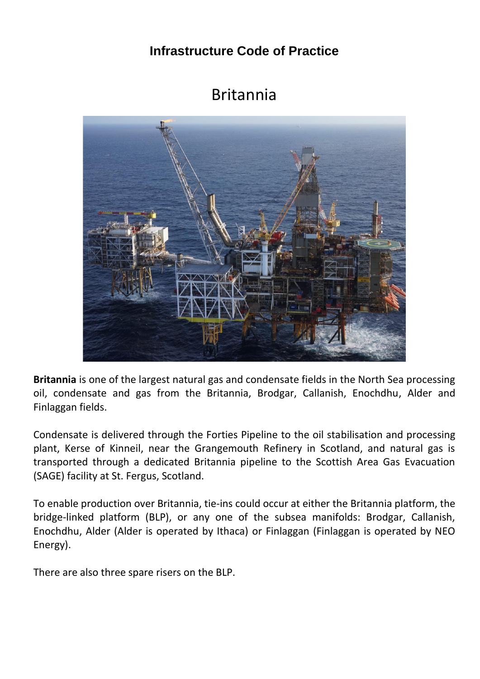## **Infrastructure Code of Practice**

## Britannia



**Britannia** is one of the largest natural gas and condensate fields in the North Sea processing oil, condensate and gas from the Britannia, Brodgar, Callanish, Enochdhu, Alder and Finlaggan fields.

Condensate is delivered through the Forties Pipeline to the oil stabilisation and processing plant, Kerse of Kinneil, near the Grangemouth Refinery in Scotland, and natural gas is transported through a dedicated Britannia pipeline to the Scottish Area Gas Evacuation (SAGE) facility at St. Fergus, Scotland.

To enable production over Britannia, tie-ins could occur at either the Britannia platform, the bridge-linked platform (BLP), or any one of the subsea manifolds: Brodgar, Callanish, Enochdhu, Alder (Alder is operated by Ithaca) or Finlaggan (Finlaggan is operated by NEO Energy).

There are also three spare risers on the BLP.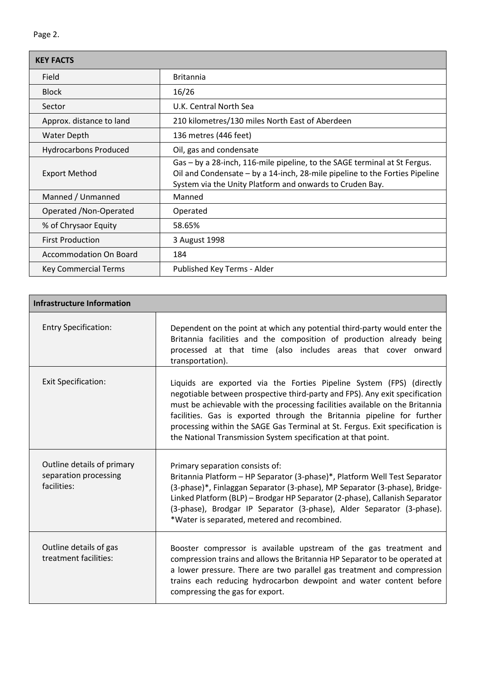| <b>KEY FACTS</b>              |                                                                                                                                                                                                                      |  |  |  |
|-------------------------------|----------------------------------------------------------------------------------------------------------------------------------------------------------------------------------------------------------------------|--|--|--|
| Field                         | <b>Britannia</b>                                                                                                                                                                                                     |  |  |  |
| <b>Block</b>                  | 16/26                                                                                                                                                                                                                |  |  |  |
| Sector                        | U.K. Central North Sea                                                                                                                                                                                               |  |  |  |
| Approx. distance to land      | 210 kilometres/130 miles North East of Aberdeen                                                                                                                                                                      |  |  |  |
| <b>Water Depth</b>            | 136 metres (446 feet)                                                                                                                                                                                                |  |  |  |
| <b>Hydrocarbons Produced</b>  | Oil, gas and condensate                                                                                                                                                                                              |  |  |  |
| <b>Export Method</b>          | Gas - by a 28-inch, 116-mile pipeline, to the SAGE terminal at St Fergus.<br>Oil and Condensate - by a 14-inch, 28-mile pipeline to the Forties Pipeline<br>System via the Unity Platform and onwards to Cruden Bay. |  |  |  |
| Manned / Unmanned             | Manned                                                                                                                                                                                                               |  |  |  |
| Operated / Non-Operated       | Operated                                                                                                                                                                                                             |  |  |  |
| % of Chrysaor Equity          | 58.65%                                                                                                                                                                                                               |  |  |  |
| <b>First Production</b>       | 3 August 1998                                                                                                                                                                                                        |  |  |  |
| <b>Accommodation On Board</b> | 184                                                                                                                                                                                                                  |  |  |  |
| Key Commercial Terms          | Published Key Terms - Alder                                                                                                                                                                                          |  |  |  |

| Infrastructure Information                                         |                                                                                                                                                                                                                                                                                                                                                                                                                                                                |  |  |  |  |  |
|--------------------------------------------------------------------|----------------------------------------------------------------------------------------------------------------------------------------------------------------------------------------------------------------------------------------------------------------------------------------------------------------------------------------------------------------------------------------------------------------------------------------------------------------|--|--|--|--|--|
| <b>Entry Specification:</b>                                        | Dependent on the point at which any potential third-party would enter the<br>Britannia facilities and the composition of production already being<br>processed at that time (also includes areas that cover onward<br>transportation).                                                                                                                                                                                                                         |  |  |  |  |  |
| <b>Exit Specification:</b>                                         | Liquids are exported via the Forties Pipeline System (FPS) (directly<br>negotiable between prospective third-party and FPS). Any exit specification<br>must be achievable with the processing facilities available on the Britannia<br>facilities. Gas is exported through the Britannia pipeline for further<br>processing within the SAGE Gas Terminal at St. Fergus. Exit specification is<br>the National Transmission System specification at that point. |  |  |  |  |  |
| Outline details of primary<br>separation processing<br>facilities: | Primary separation consists of:<br>Britannia Platform - HP Separator (3-phase)*, Platform Well Test Separator<br>(3-phase)*, Finlaggan Separator (3-phase), MP Separator (3-phase), Bridge-<br>Linked Platform (BLP) - Brodgar HP Separator (2-phase), Callanish Separator<br>(3-phase), Brodgar IP Separator (3-phase), Alder Separator (3-phase).<br>*Water is separated, metered and recombined.                                                            |  |  |  |  |  |
| Outline details of gas<br>treatment facilities:                    | Booster compressor is available upstream of the gas treatment and<br>compression trains and allows the Britannia HP Separator to be operated at<br>a lower pressure. There are two parallel gas treatment and compression<br>trains each reducing hydrocarbon dewpoint and water content before<br>compressing the gas for export.                                                                                                                             |  |  |  |  |  |